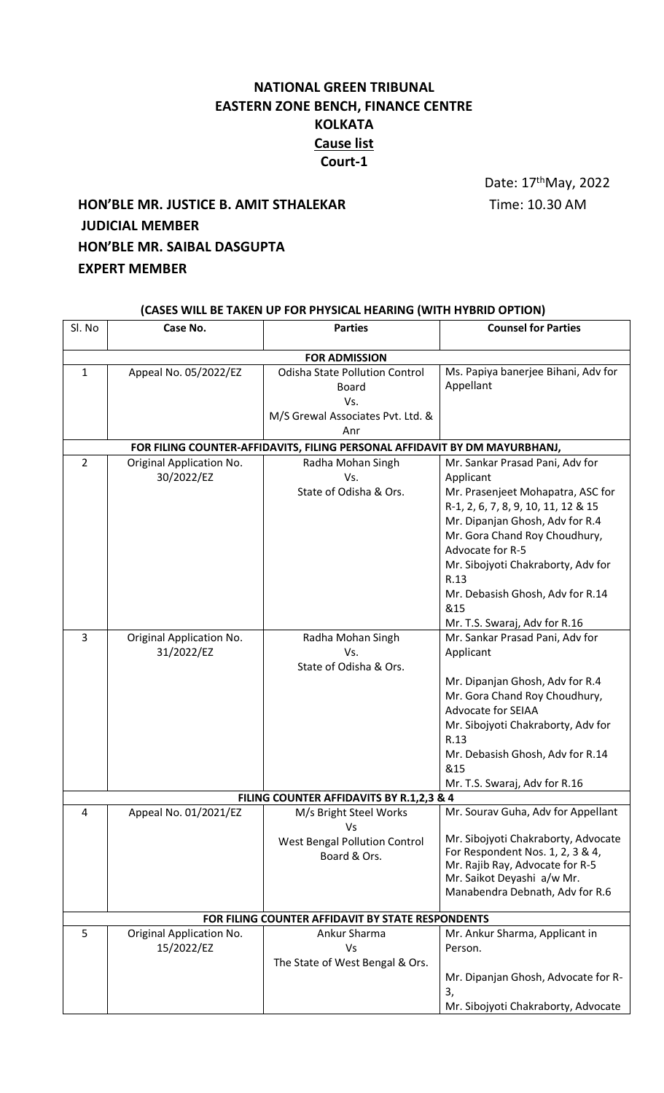# **NATIONAL GREEN TRIBUNAL EASTERN ZONE BENCH, FINANCE CENTRE KOLKATA Cause list Court-1**

Date: 17<sup>th</sup>May, 2022

# **HON'BLE MR. JUSTICE B. AMIT STHALEKAR** Time: 10.30 AM **JUDICIAL MEMBER HON'BLE MR. SAIBAL DASGUPTA EXPERT MEMBER**

| (CASES WILL BE TAKEN UP FOR PHYSICAL HEARING (WITH HYBRID OPTION)          |                                        |                                                                                                          |                                                                                                                                                                                                                                                                                                                                            |  |  |  |
|----------------------------------------------------------------------------|----------------------------------------|----------------------------------------------------------------------------------------------------------|--------------------------------------------------------------------------------------------------------------------------------------------------------------------------------------------------------------------------------------------------------------------------------------------------------------------------------------------|--|--|--|
| Sl. No                                                                     | Case No.                               | <b>Parties</b>                                                                                           | <b>Counsel for Parties</b>                                                                                                                                                                                                                                                                                                                 |  |  |  |
| <b>FOR ADMISSION</b>                                                       |                                        |                                                                                                          |                                                                                                                                                                                                                                                                                                                                            |  |  |  |
| $\mathbf{1}$                                                               | Appeal No. 05/2022/EZ                  | <b>Odisha State Pollution Control</b><br><b>Board</b><br>Vs.<br>M/S Grewal Associates Pvt. Ltd. &<br>Anr | Ms. Papiya banerjee Bihani, Adv for<br>Appellant                                                                                                                                                                                                                                                                                           |  |  |  |
| FOR FILING COUNTER-AFFIDAVITS, FILING PERSONAL AFFIDAVIT BY DM MAYURBHANJ, |                                        |                                                                                                          |                                                                                                                                                                                                                                                                                                                                            |  |  |  |
| $\overline{2}$                                                             | Original Application No.<br>30/2022/EZ | Radha Mohan Singh<br>Vs.<br>State of Odisha & Ors.                                                       | Mr. Sankar Prasad Pani, Adv for<br>Applicant<br>Mr. Prasenjeet Mohapatra, ASC for<br>R-1, 2, 6, 7, 8, 9, 10, 11, 12 & 15<br>Mr. Dipanjan Ghosh, Adv for R.4<br>Mr. Gora Chand Roy Choudhury,<br>Advocate for R-5<br>Mr. Sibojyoti Chakraborty, Adv for<br>R.13<br>Mr. Debasish Ghosh, Adv for R.14<br>&15<br>Mr. T.S. Swaraj, Adv for R.16 |  |  |  |
| 3                                                                          | Original Application No.<br>31/2022/EZ | Radha Mohan Singh<br>Vs.<br>State of Odisha & Ors.                                                       | Mr. Sankar Prasad Pani, Adv for<br>Applicant<br>Mr. Dipanjan Ghosh, Adv for R.4<br>Mr. Gora Chand Roy Choudhury,<br><b>Advocate for SEIAA</b><br>Mr. Sibojyoti Chakraborty, Adv for<br>R.13<br>Mr. Debasish Ghosh, Adv for R.14<br>&15<br>Mr. T.S. Swaraj, Adv for R.16                                                                    |  |  |  |
|                                                                            |                                        | FILING COUNTER AFFIDAVITS BY R.1,2,3 & 4                                                                 |                                                                                                                                                                                                                                                                                                                                            |  |  |  |
| 4                                                                          | Appeal No. 01/2021/EZ                  | M/s Bright Steel Works<br>Vs<br><b>West Bengal Pollution Control</b><br>Board & Ors.                     | Mr. Sourav Guha, Adv for Appellant<br>Mr. Sibojyoti Chakraborty, Advocate<br>For Respondent Nos. 1, 2, 3 & 4,<br>Mr. Rajib Ray, Advocate for R-5<br>Mr. Saikot Deyashi a/w Mr.<br>Manabendra Debnath, Adv for R.6                                                                                                                          |  |  |  |
|                                                                            |                                        | FOR FILING COUNTER AFFIDAVIT BY STATE RESPONDENTS                                                        |                                                                                                                                                                                                                                                                                                                                            |  |  |  |
| 5                                                                          | Original Application No.<br>15/2022/EZ | Ankur Sharma<br>Vs<br>The State of West Bengal & Ors.                                                    | Mr. Ankur Sharma, Applicant in<br>Person.<br>Mr. Dipanjan Ghosh, Advocate for R-<br>3,<br>Mr. Sibojyoti Chakraborty, Advocate                                                                                                                                                                                                              |  |  |  |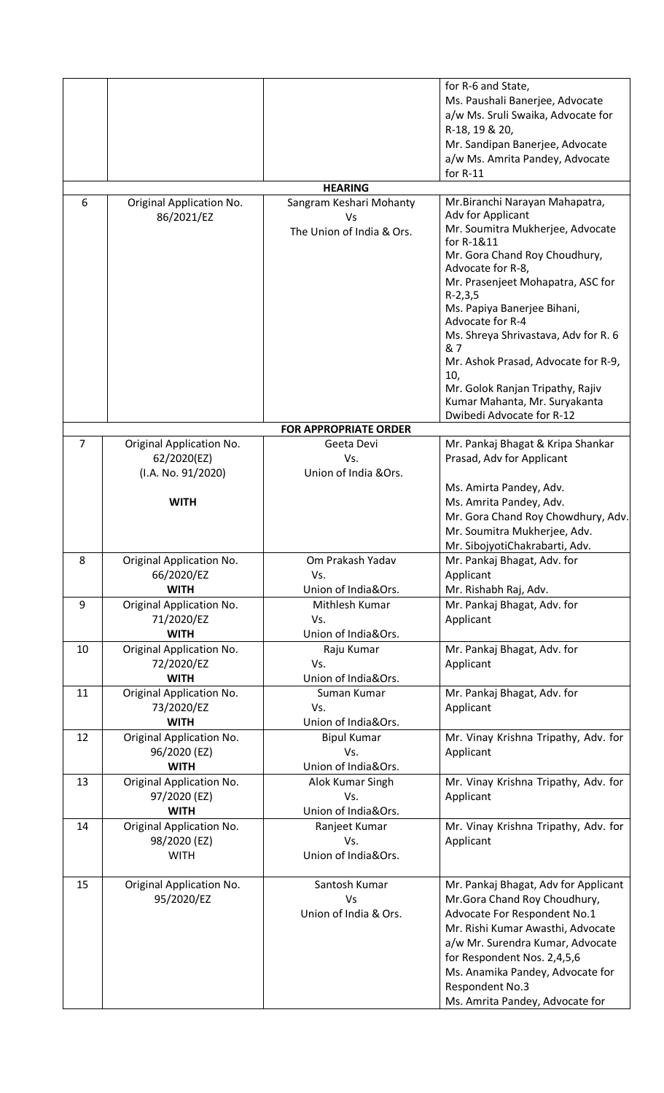|                              |                                                                              |                                                            | for R-6 and State,<br>Ms. Paushali Banerjee, Advocate<br>a/w Ms. Sruli Swaika, Advocate for<br>R-18, 19 & 20,<br>Mr. Sandipan Banerjee, Advocate<br>a/w Ms. Amrita Pandey, Advocate<br>for $R-11$                                                                                                                                                                                                                                                               |  |  |  |
|------------------------------|------------------------------------------------------------------------------|------------------------------------------------------------|-----------------------------------------------------------------------------------------------------------------------------------------------------------------------------------------------------------------------------------------------------------------------------------------------------------------------------------------------------------------------------------------------------------------------------------------------------------------|--|--|--|
|                              |                                                                              | <b>HEARING</b>                                             |                                                                                                                                                                                                                                                                                                                                                                                                                                                                 |  |  |  |
| 6                            | Original Application No.<br>86/2021/EZ                                       | Sangram Keshari Mohanty<br>Vs<br>The Union of India & Ors. | Mr.Biranchi Narayan Mahapatra,<br>Adv for Applicant<br>Mr. Soumitra Mukherjee, Advocate<br>for R-1&11<br>Mr. Gora Chand Roy Choudhury,<br>Advocate for R-8,<br>Mr. Prasenjeet Mohapatra, ASC for<br>$R-2,3,5$<br>Ms. Papiya Banerjee Bihani,<br>Advocate for R-4<br>Ms. Shreya Shrivastava, Adv for R. 6<br>& 7<br>Mr. Ashok Prasad, Advocate for R-9,<br>10,<br>Mr. Golok Ranjan Tripathy, Rajiv<br>Kumar Mahanta, Mr. Suryakanta<br>Dwibedi Advocate for R-12 |  |  |  |
| <b>FOR APPROPRIATE ORDER</b> |                                                                              |                                                            |                                                                                                                                                                                                                                                                                                                                                                                                                                                                 |  |  |  |
| $\overline{7}$               | Original Application No.<br>62/2020(EZ)<br>(I.A. No. 91/2020)<br><b>WITH</b> | Geeta Devi<br>Vs.<br>Union of India &Ors.                  | Mr. Pankaj Bhagat & Kripa Shankar<br>Prasad, Adv for Applicant<br>Ms. Amirta Pandey, Adv.<br>Ms. Amrita Pandey, Adv.<br>Mr. Gora Chand Roy Chowdhury, Adv.<br>Mr. Soumitra Mukherjee, Adv.                                                                                                                                                                                                                                                                      |  |  |  |
|                              |                                                                              |                                                            | Mr. SibojyotiChakrabarti, Adv.                                                                                                                                                                                                                                                                                                                                                                                                                                  |  |  |  |
| 8                            | Original Application No.<br>66/2020/EZ<br><b>WITH</b>                        | Om Prakash Yadav<br>Vs.<br>Union of India&Ors.             | Mr. Pankaj Bhagat, Adv. for<br>Applicant<br>Mr. Rishabh Raj, Adv.                                                                                                                                                                                                                                                                                                                                                                                               |  |  |  |
| 9                            | Original Application No.<br>71/2020/EZ<br><b>WITH</b>                        | Mithlesh Kumar<br>Vs.<br>Union of India&Ors.               | Mr. Pankaj Bhagat, Adv. for<br>Applicant                                                                                                                                                                                                                                                                                                                                                                                                                        |  |  |  |
| 10                           | Original Application No.<br>72/2020/EZ<br><b>WITH</b>                        | Raju Kumar<br>Vs.<br>Union of India&Ors.                   | Mr. Pankaj Bhagat, Adv. for<br>Applicant                                                                                                                                                                                                                                                                                                                                                                                                                        |  |  |  |
| 11                           | Original Application No.<br>73/2020/EZ<br><b>WITH</b>                        | Suman Kumar<br>Vs.<br>Union of India&Ors.                  | Mr. Pankaj Bhagat, Adv. for<br>Applicant                                                                                                                                                                                                                                                                                                                                                                                                                        |  |  |  |
| 12                           | Original Application No.<br>96/2020 (EZ)<br><b>WITH</b>                      | <b>Bipul Kumar</b><br>Vs.<br>Union of India&Ors.           | Mr. Vinay Krishna Tripathy, Adv. for<br>Applicant                                                                                                                                                                                                                                                                                                                                                                                                               |  |  |  |
| 13                           | Original Application No.<br>97/2020 (EZ)<br><b>WITH</b>                      | Alok Kumar Singh<br>Vs.<br>Union of India&Ors.             | Mr. Vinay Krishna Tripathy, Adv. for<br>Applicant                                                                                                                                                                                                                                                                                                                                                                                                               |  |  |  |
| 14                           | Original Application No.<br>98/2020 (EZ)<br><b>WITH</b>                      | Ranjeet Kumar<br>Vs.<br>Union of India&Ors.                | Mr. Vinay Krishna Tripathy, Adv. for<br>Applicant                                                                                                                                                                                                                                                                                                                                                                                                               |  |  |  |
| 15                           | Original Application No.<br>95/2020/EZ                                       | Santosh Kumar<br>Vs<br>Union of India & Ors.               | Mr. Pankaj Bhagat, Adv for Applicant<br>Mr.Gora Chand Roy Choudhury,<br>Advocate For Respondent No.1<br>Mr. Rishi Kumar Awasthi, Advocate<br>a/w Mr. Surendra Kumar, Advocate<br>for Respondent Nos. 2,4,5,6<br>Ms. Anamika Pandey, Advocate for<br>Respondent No.3<br>Ms. Amrita Pandey, Advocate for                                                                                                                                                          |  |  |  |